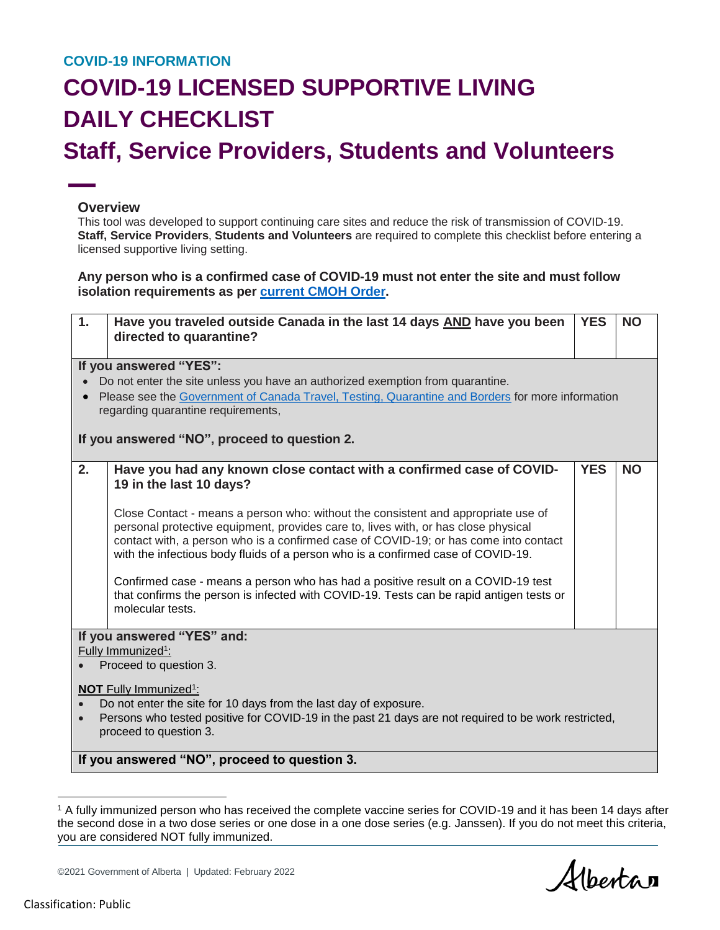## **COVID-19 INFORMATION**

## **COVID-19 LICENSED SUPPORTIVE LIVING DAILY CHECKLIST Staff, Service Providers, Students and Volunteers**

## **Overview**

This tool was developed to support continuing care sites and reduce the risk of transmission of COVID-19. **Staff, Service Providers**, **Students and Volunteers** are required to complete this checklist before entering a licensed supportive living setting.

**Any person who is a confirmed case of COVID-19 must not enter the site and must follow isolation requirements as per [current CMOH Order.](https://www.alberta.ca/isolation.aspx)**

| 1.<br>Have you traveled outside Canada in the last 14 days AND have you been<br>directed to quarantine?                                                                                                                                                                                                                                             | <b>YES</b> | <b>NO</b> |  |  |
|-----------------------------------------------------------------------------------------------------------------------------------------------------------------------------------------------------------------------------------------------------------------------------------------------------------------------------------------------------|------------|-----------|--|--|
| If you answered "YES":                                                                                                                                                                                                                                                                                                                              |            |           |  |  |
| Do not enter the site unless you have an authorized exemption from quarantine.                                                                                                                                                                                                                                                                      |            |           |  |  |
| Please see the Government of Canada Travel, Testing, Quarantine and Borders for more information<br>regarding quarantine requirements,                                                                                                                                                                                                              |            |           |  |  |
| If you answered "NO", proceed to question 2.                                                                                                                                                                                                                                                                                                        |            |           |  |  |
| 2.<br>Have you had any known close contact with a confirmed case of COVID-<br>19 in the last 10 days?                                                                                                                                                                                                                                               | <b>YES</b> | <b>NO</b> |  |  |
| Close Contact - means a person who: without the consistent and appropriate use of<br>personal protective equipment, provides care to, lives with, or has close physical<br>contact with, a person who is a confirmed case of COVID-19; or has come into contact<br>with the infectious body fluids of a person who is a confirmed case of COVID-19. |            |           |  |  |
| Confirmed case - means a person who has had a positive result on a COVID-19 test<br>that confirms the person is infected with COVID-19. Tests can be rapid antigen tests or<br>molecular tests.                                                                                                                                                     |            |           |  |  |
| If you answered "YES" and:                                                                                                                                                                                                                                                                                                                          |            |           |  |  |
| Fully Immunized <sup>1</sup> :                                                                                                                                                                                                                                                                                                                      |            |           |  |  |
| Proceed to question 3.                                                                                                                                                                                                                                                                                                                              |            |           |  |  |
| <b>NOT</b> Fully Immunized <sup>1</sup> :<br>Do not enter the site for 10 days from the last day of exposure.<br>Persons who tested positive for COVID-19 in the past 21 days are not required to be work restricted,<br>$\bullet$<br>proceed to question 3.                                                                                        |            |           |  |  |
| If you answered "NO", proceed to question 3.                                                                                                                                                                                                                                                                                                        |            |           |  |  |

<sup>1</sup> A fully immunized person who has received the complete vaccine series for COVID-19 and it has been 14 days after the second dose in a two dose series or one dose in a one dose series (e.g. Janssen). If you do not meet this criteria, you are considered NOT fully immunized.

Albertan

©2021 Government of Alberta | Updated: February 2022

 $\overline{a}$